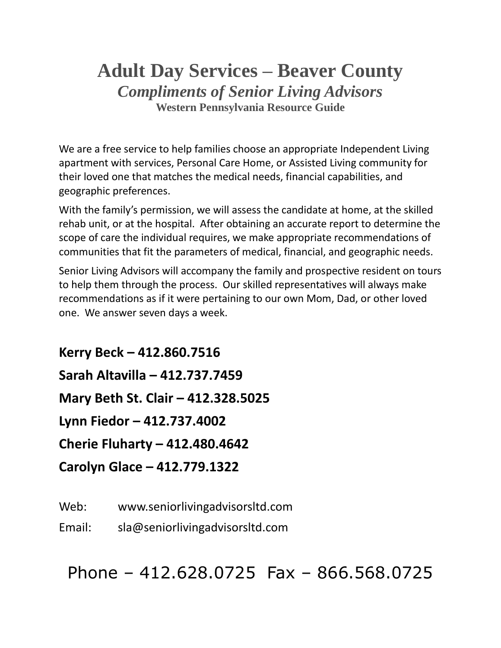# **Adult Day Services – Beaver County** *Compliments of Senior Living Advisors* **Western Pennsylvania Resource Guide**

We are a free service to help families choose an appropriate Independent Living apartment with services, Personal Care Home, or Assisted Living community for their loved one that matches the medical needs, financial capabilities, and geographic preferences.

With the family's permission, we will assess the candidate at home, at the skilled rehab unit, or at the hospital. After obtaining an accurate report to determine the scope of care the individual requires, we make appropriate recommendations of communities that fit the parameters of medical, financial, and geographic needs.

Senior Living Advisors will accompany the family and prospective resident on tours to help them through the process. Our skilled representatives will always make recommendations as if it were pertaining to our own Mom, Dad, or other loved one. We answer seven days a week.

**Kerry Beck – 412.860.7516 Sarah Altavilla – 412.737.7459 Mary Beth St. Clair – 412.328.5025 Lynn Fiedor – 412.737.4002 Cherie Fluharty – 412.480.4642 Carolyn Glace – 412.779.1322**

Web: www.seniorlivingadvisorsltd.com

Email: sla@seniorlivingadvisorsltd.com

Phone – 412.628.0725 Fax – 866.568.0725